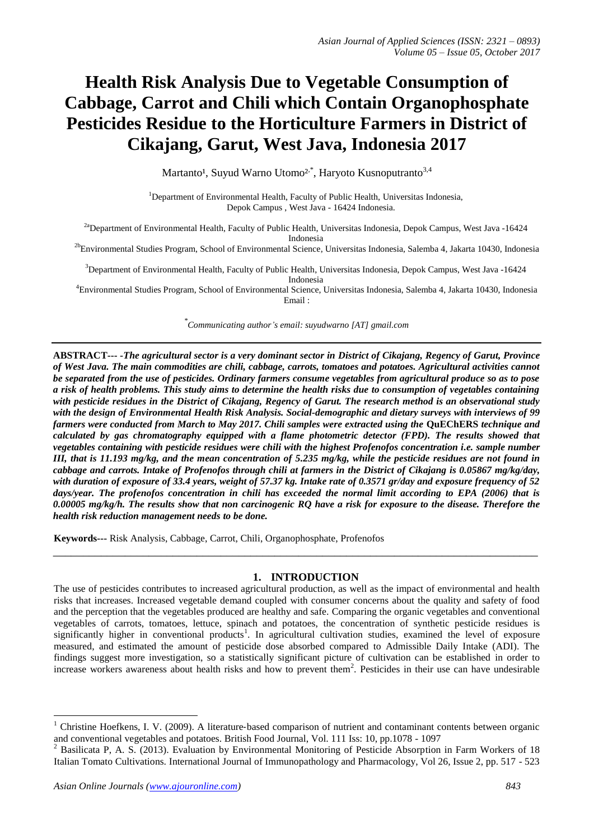# **Health Risk Analysis Due to Vegetable Consumption of Cabbage, Carrot and Chili which Contain Organophosphate Pesticides Residue to the Horticulture Farmers in District of Cikajang, Garut, West Java, Indonesia 2017**

Martanto<sup>1</sup>, Suyud Warno Utomo<sup>2,\*</sup>, Haryoto Kusnoputranto<sup>3,4</sup>

<sup>1</sup>Department of Environmental Health, Faculty of Public Health, Universitas Indonesia, Depok Campus , West Java - 16424 Indonesia.

<sup>2a</sup>Department of Environmental Health, Faculty of Public Health, Universitas Indonesia, Depok Campus, West Java -16424 Indonesia

<sup>2b</sup>Environmental Studies Program, School of Environmental Science, Universitas Indonesia, Salemba 4, Jakarta 10430, Indonesia

<sup>3</sup>Department of Environmental Health, Faculty of Public Health, Universitas Indonesia, Depok Campus, West Java -16424 Indonesia

<sup>4</sup>Environmental Studies Program, School of Environmental Science, Universitas Indonesia, Salemba 4, Jakarta 10430, Indonesia Email :

*\* Communicating author's email: suyudwarno [AT] gmail.com*

**ABSTRACT---** *-The agricultural sector is a very dominant sector in District of Cikajang, Regency of Garut, Province of West Java. The main commodities are chili, cabbage, carrots, tomatoes and potatoes. Agricultural activities cannot be separated from the use of pesticides. Ordinary farmers consume vegetables from agricultural produce so as to pose a risk of health problems. This study aims to determine the health risks due to consumption of vegetables containing with pesticide residues in the District of Cikajang, Regency of Garut. The research method is an observational study with the design of Environmental Health Risk Analysis. Social-demographic and dietary surveys with interviews of 99 farmers were conducted from March to May 2017. Chili samples were extracted using the* **QuEChERS** *technique and calculated by gas chromatography equipped with a flame photometric detector (FPD). The results showed that vegetables containing with pesticide residues were chili with the highest Profenofos concentration i.e. sample number III, that is 11.193 mg/kg, and the mean concentration of 5.235 mg/kg, while the pesticide residues are not found in cabbage and carrots. Intake of Profenofos through chili at farmers in the District of Cikajang is 0.05867 mg/kg/day, with duration of exposure of 33.4 years, weight of 57.37 kg. Intake rate of 0.3571 gr/day and exposure frequency of 52 days/year. The profenofos concentration in chili has exceeded the normal limit according to EPA (2006) that is 0.00005 mg/kg/h. The results show that non carcinogenic RQ have a risk for exposure to the disease. Therefore the health risk reduction management needs to be done.*

**Keywords---** Risk Analysis, Cabbage, Carrot, Chili, Organophosphate, Profenofos

## **1. INTRODUCTION**

\_\_\_\_\_\_\_\_\_\_\_\_\_\_\_\_\_\_\_\_\_\_\_\_\_\_\_\_\_\_\_\_\_\_\_\_\_\_\_\_\_\_\_\_\_\_\_\_\_\_\_\_\_\_\_\_\_\_\_\_\_\_\_\_\_\_\_\_\_\_\_\_\_\_\_\_\_\_\_\_\_

The use of pesticides contributes to increased agricultural production, as well as the impact of environmental and health risks that increases. Increased vegetable demand coupled with consumer concerns about the quality and safety of food and the perception that the vegetables produced are healthy and safe. Comparing the organic vegetables and conventional vegetables of carrots, tomatoes, lettuce, spinach and potatoes, the concentration of synthetic pesticide residues is significantly higher in conventional products<sup>1</sup>. In agricultural cultivation studies, examined the level of exposure measured, and estimated the amount of pesticide dose absorbed compared to Admissible Daily Intake (ADI). The findings suggest more investigation, so a statistically significant picture of cultivation can be established in order to increase workers awareness about health risks and how to prevent them<sup>2</sup>. Pesticides in their use can have undesirable

1

<sup>&</sup>lt;sup>1</sup> Christine Hoefkens, I. V. (2009). A literature-based comparison of nutrient and contaminant contents between organic and conventional vegetables and potatoes. British Food Journal, Vol. 111 Iss: 10, pp.1078 - 1097

<sup>&</sup>lt;sup>2</sup> Basilicata P, A. S. (2013). Evaluation by Environmental Monitoring of Pesticide Absorption in Farm Workers of 18 Italian Tomato Cultivations. International Journal of Immunopathology and Pharmacology, Vol 26, Issue 2, pp. 517 - 523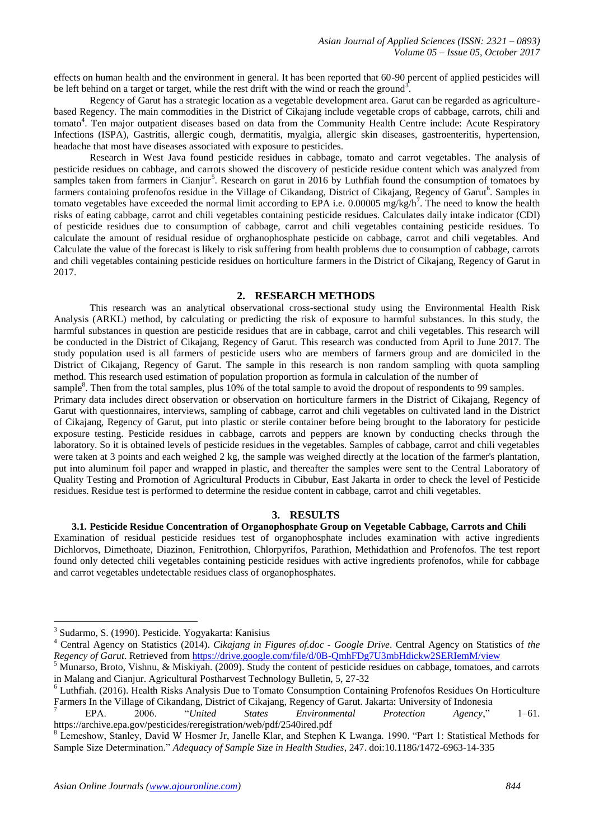effects on human health and the environment in general. It has been reported that 60-90 percent of applied pesticides will be left behind on a target or target, while the rest drift with the wind or reach the ground<sup>3</sup>.

Regency of Garut has a strategic location as a vegetable development area. Garut can be regarded as agriculturebased Regency. The main commodities in the District of Cikajang include vegetable crops of cabbage, carrots, chili and tomato<sup>4</sup>. Ten major outpatient diseases based on data from the Community Health Centre include: Acute Respiratory Infections (ISPA), Gastritis, allergic cough, dermatitis, myalgia, allergic skin diseases, gastroenteritis, hypertension, headache that most have diseases associated with exposure to pesticides.

Research in West Java found pesticide residues in cabbage, tomato and carrot vegetables. The analysis of pesticide residues on cabbage, and carrots showed the discovery of pesticide residue content which was analyzed from samples taken from farmers in Cianjur<sup>5</sup>. Research on garut in 2016 by Luthfiah found the consumption of tomatoes by farmers containing profenofos residue in the Village of Cikandang, District of Cikajang, Regency of Garut<sup>6</sup>. Samples in tomato vegetables have exceeded the normal limit according to EPA i.e.  $0.00005$  mg/kg/h<sup>7</sup>. The need to know the health risks of eating cabbage, carrot and chili vegetables containing pesticide residues. Calculates daily intake indicator (CDI) of pesticide residues due to consumption of cabbage, carrot and chili vegetables containing pesticide residues. To calculate the amount of residual residue of orghanophosphate pesticide on cabbage, carrot and chili vegetables. And Calculate the value of the forecast is likely to risk suffering from health problems due to consumption of cabbage, carrots and chili vegetables containing pesticide residues on horticulture farmers in the District of Cikajang, Regency of Garut in 2017.

#### **2. RESEARCH METHODS**

This research was an analytical observational cross-sectional study using the Environmental Health Risk Analysis (ARKL) method, by calculating or predicting the risk of exposure to harmful substances. In this study, the harmful substances in question are pesticide residues that are in cabbage, carrot and chili vegetables. This research will be conducted in the District of Cikajang, Regency of Garut. This research was conducted from April to June 2017. The study population used is all farmers of pesticide users who are members of farmers group and are domiciled in the District of Cikajang, Regency of Garut. The sample in this research is non random sampling with quota sampling method. This research used estimation of population proportion as formula in calculation of the number of

sample<sup>8</sup>. Then from the total samples, plus 10% of the total sample to avoid the dropout of respondents to 99 samples.

Primary data includes direct observation or observation on horticulture farmers in the District of Cikajang, Regency of Garut with questionnaires, interviews, sampling of cabbage, carrot and chili vegetables on cultivated land in the District of Cikajang, Regency of Garut, put into plastic or sterile container before being brought to the laboratory for pesticide exposure testing. Pesticide residues in cabbage, carrots and peppers are known by conducting checks through the laboratory. So it is obtained levels of pesticide residues in the vegetables. Samples of cabbage, carrot and chili vegetables were taken at 3 points and each weighed 2 kg, the sample was weighed directly at the location of the farmer's plantation, put into aluminum foil paper and wrapped in plastic, and thereafter the samples were sent to the Central Laboratory of Quality Testing and Promotion of Agricultural Products in Cibubur, East Jakarta in order to check the level of Pesticide residues. Residue test is performed to determine the residue content in cabbage, carrot and chili vegetables.

## **3. RESULTS**

**3.1. Pesticide Residue Concentration of Organophosphate Group on Vegetable Cabbage, Carrots and Chili** Examination of residual pesticide residues test of organophosphate includes examination with active ingredients Dichlorvos, Dimethoate, Diazinon, Fenitrothion, Chlorpyrifos, Parathion, Methidathion and Profenofos. The test report found only detected chili vegetables containing pesticide residues with active ingredients profenofos, while for cabbage and carrot vegetables undetectable residues class of organophosphates.

1

<sup>6</sup> Luthfiah. (2016). Health Risks Analysis Due to Tomato Consumption Containing Profenofos Residues On Horticulture Farmers In the Village of Cikandang, District of Cikajang, Regency of Garut. Jakarta: University of Indonesia

<sup>3</sup> Sudarmo, S. (1990). Pesticide. Yogyakarta: Kanisius

<sup>4</sup> Central Agency on Statistics (2014). *Cikajang in Figures of.doc - Google Drive*. Central Agency on Statistics of *the Regency of Garut*. Retrieved from<https://drive.google.com/file/d/0B-QmhFDg7U3mbHdickw2SERIemM/view>

<sup>5</sup> Munarso, Broto, Vishnu, & Miskiyah. (2009). Study the content of pesticide residues on cabbage, tomatoes, and carrots in Malang and Cianjur. Agricultural Postharvest Technology Bulletin, 5, 27-32

<sup>7</sup> EPA. 2006. "*United States Environmental Protection Agency*," 1–61. https://archive.epa.gov/pesticides/reregistration/web/pdf/2540ired.pdf

<sup>8</sup> Lemeshow, Stanley, David W Hosmer Jr, Janelle Klar, and Stephen K Lwanga. 1990. "Part 1: Statistical Methods for Sample Size Determination." *Adequacy of Sample Size in Health Studies*, 247. doi:10.1186/1472-6963-14-335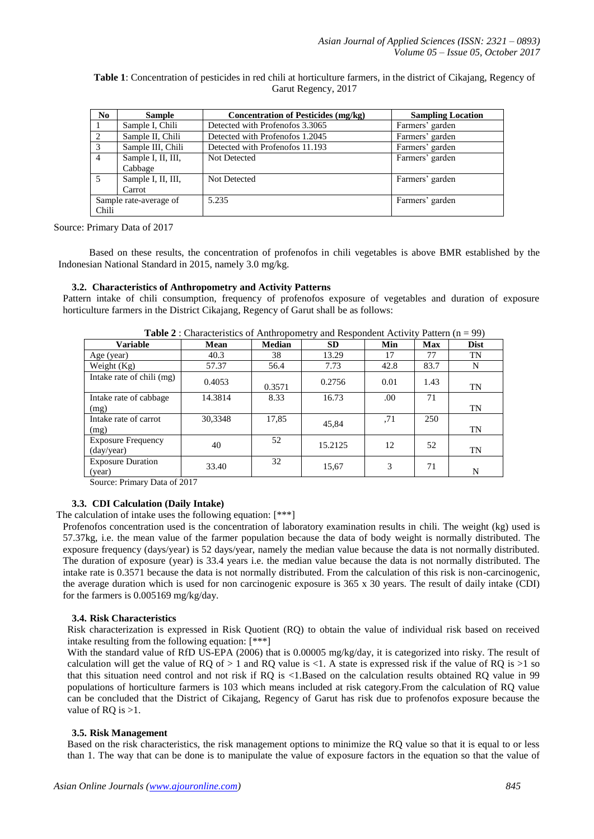**Table 1**: Concentration of pesticides in red chili at horticulture farmers, in the district of Cikajang, Regency of Garut Regency, 2017

| N <sub>0</sub>         | <b>Sample</b>      | <b>Concentration of Pesticides (mg/kg)</b> | <b>Sampling Location</b> |
|------------------------|--------------------|--------------------------------------------|--------------------------|
|                        | Sample I, Chili    | Detected with Profenofos 3.3065            | Farmers' garden          |
| ↑                      | Sample II, Chili   | Detected with Profenofos 1.2045            | Farmers' garden          |
| $\mathcal{R}$          | Sample III, Chili  | Detected with Profenofos 11.193            | Farmers' garden          |
| 4                      | Sample I, II, III, | <b>Not Detected</b>                        | Farmers' garden          |
|                        | Cabbage            |                                            |                          |
|                        | Sample I, II, III, | Not Detected                               | Farmers' garden          |
|                        | Carrot             |                                            |                          |
| Sample rate-average of |                    | 5.235                                      | Farmers' garden          |
| Chili                  |                    |                                            |                          |

Source: Primary Data of 2017

Based on these results, the concentration of profenofos in chili vegetables is above BMR established by the Indonesian National Standard in 2015, namely 3.0 mg/kg.

#### **3.2. Characteristics of Anthropometry and Activity Patterns**

Pattern intake of chili consumption, frequency of profenofos exposure of vegetables and duration of exposure horticulture farmers in the District Cikajang, Regency of Garut shall be as follows:

| <b>Tuble 2</b> : Characteristics of Thian oponion $\gamma$ and respondent Tien $\eta$ ration $(n - \gamma)$ |             |               |           |      |            |             |  |  |
|-------------------------------------------------------------------------------------------------------------|-------------|---------------|-----------|------|------------|-------------|--|--|
| <b>Variable</b>                                                                                             | <b>Mean</b> | <b>Median</b> | <b>SD</b> | Min  | <b>Max</b> | <b>Dist</b> |  |  |
| Age (year)                                                                                                  | 40.3        | 38            | 13.29     | 17   | 77         | <b>TN</b>   |  |  |
| Weight $(Kg)$                                                                                               | 57.37       | 56.4          | 7.73      | 42.8 | 83.7       | N           |  |  |
| Intake rate of chili (mg)                                                                                   | 0.4053      | 0.3571        | 0.2756    | 0.01 | 1.43       | <b>TN</b>   |  |  |
| Intake rate of cabbage                                                                                      | 14.3814     | 8.33          | 16.73     | .00  | 71         |             |  |  |
| (mg)                                                                                                        |             |               |           |      |            | TN          |  |  |
| Intake rate of carrot                                                                                       | 30,3348     | 17,85         | 45.84     | .71  | 250        |             |  |  |
| (mg)                                                                                                        |             |               |           |      |            | TN          |  |  |
| <b>Exposure Frequency</b>                                                                                   | 40          | 52            | 15.2125   | 12   | 52         |             |  |  |
| (day/year)                                                                                                  |             |               |           |      |            | TN          |  |  |
| <b>Exposure Duration</b>                                                                                    | 33.40       | 32            | 15,67     | 3    | 71         |             |  |  |
| (year)<br>$\sim$<br>$ -$                                                                                    |             |               |           |      |            | N           |  |  |

**Table 2** : Characteristics of Anthropometry and Respondent Activity Pattern (n = 99)

Source: Primary Data of 2017

## **3.3. CDI Calculation (Daily Intake)**

The calculation of intake uses the following equation: [\*\*\*]

Profenofos concentration used is the concentration of laboratory examination results in chili. The weight (kg) used is 57.37kg, i.e. the mean value of the farmer population because the data of body weight is normally distributed. The exposure frequency (days/year) is 52 days/year, namely the median value because the data is not normally distributed. The duration of exposure (year) is 33.4 years i.e. the median value because the data is not normally distributed. The intake rate is 0.3571 because the data is not normally distributed. From the calculation of this risk is non-carcinogenic, the average duration which is used for non carcinogenic exposure is 365 x 30 years. The result of daily intake (CDI) for the farmers is 0.005169 mg/kg/day.

#### **3.4. Risk Characteristics**

Risk characterization is expressed in Risk Quotient (RQ) to obtain the value of individual risk based on received intake resulting from the following equation: [\*\*\*]

With the standard value of RfD US-EPA (2006) that is 0.00005 mg/kg/day, it is categorized into risky. The result of calculation will get the value of RQ of  $> 1$  and RQ value is <1. A state is expressed risk if the value of RQ is  $>1$  so that this situation need control and not risk if RQ is <1.Based on the calculation results obtained RQ value in 99 populations of horticulture farmers is 103 which means included at risk category.From the calculation of RQ value can be concluded that the District of Cikajang, Regency of Garut has risk due to profenofos exposure because the value of RQ is  $>1$ .

#### **3.5. Risk Management**

Based on the risk characteristics, the risk management options to minimize the RQ value so that it is equal to or less than 1. The way that can be done is to manipulate the value of exposure factors in the equation so that the value of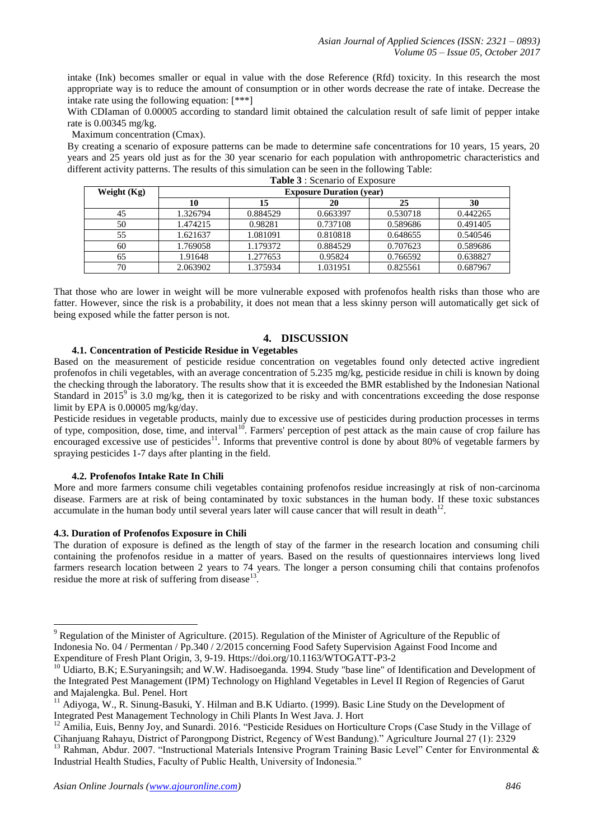intake (Ink) becomes smaller or equal in value with the dose Reference (Rfd) toxicity. In this research the most appropriate way is to reduce the amount of consumption or in other words decrease the rate of intake. Decrease the intake rate using the following equation: [\*\*\*]

With CDIaman of 0.00005 according to standard limit obtained the calculation result of safe limit of pepper intake rate is 0.00345 mg/kg.

Maximum concentration (Cmax).

By creating a scenario of exposure patterns can be made to determine safe concentrations for 10 years, 15 years, 20 years and 25 years old just as for the 30 year scenario for each population with anthropometric characteristics and different activity patterns. The results of this simulation can be seen in the following Table: **Table 3** : Scenario of Exposure

|               | <b>Table</b> $\mathcal{I}$ . Becharly 01 EXPOSUR |          |          |          |          |  |  |
|---------------|--------------------------------------------------|----------|----------|----------|----------|--|--|
| Weight $(Kg)$ | <b>Exposure Duration (year)</b>                  |          |          |          |          |  |  |
|               | 10                                               | 15       | 20       | 25       | 30       |  |  |
| 45            | 1.326794                                         | 0.884529 | 0.663397 | 0.530718 | 0.442265 |  |  |
| 50            | 1.474215                                         | 0.98281  | 0.737108 | 0.589686 | 0.491405 |  |  |
| 55            | 1.621637                                         | 1.081091 | 0.810818 | 0.648655 | 0.540546 |  |  |
| 60            | 1.769058                                         | 1.179372 | 0.884529 | 0.707623 | 0.589686 |  |  |
| 65            | 1.91648                                          | 1.277653 | 0.95824  | 0.766592 | 0.638827 |  |  |
| 70            | 2.063902                                         | 1.375934 | 1.031951 | 0.825561 | 0.687967 |  |  |

That those who are lower in weight will be more vulnerable exposed with profenofos health risks than those who are fatter. However, since the risk is a probability, it does not mean that a less skinny person will automatically get sick of being exposed while the fatter person is not.

# **4. DISCUSSION**

# **4.1. Concentration of Pesticide Residue in Vegetables**

Based on the measurement of pesticide residue concentration on vegetables found only detected active ingredient profenofos in chili vegetables, with an average concentration of 5.235 mg/kg, pesticide residue in chili is known by doing the checking through the laboratory. The results show that it is exceeded the BMR established by the Indonesian National Standard in  $2015^9$  is 3.0 mg/kg, then it is categorized to be risky and with concentrations exceeding the dose response limit by EPA is 0.00005 mg/kg/day.

Pesticide residues in vegetable products, mainly due to excessive use of pesticides during production processes in terms of type, composition, dose, time, and interval<sup>10</sup>. Farmers' perception of pest attack as the main cause of crop failure has encouraged excessive use of pesticides<sup>11</sup>. Informs that preventive control is done by about 80% of vegetable farmers by spraying pesticides 1-7 days after planting in the field.

## **4.2. Profenofos Intake Rate In Chili**

More and more farmers consume chili vegetables containing profenofos residue increasingly at risk of non-carcinoma disease. Farmers are at risk of being contaminated by toxic substances in the human body. If these toxic substances accumulate in the human body until several years later will cause cancer that will result in death $12$ .

#### **4.3. Duration of Profenofos Exposure in Chili**

-

The duration of exposure is defined as the length of stay of the farmer in the research location and consuming chili containing the profenofos residue in a matter of years. Based on the results of questionnaires interviews long lived farmers research location between 2 years to 74 years. The longer a person consuming chili that contains profenofos residue the more at risk of suffering from disease $^{13}$ .

<sup>&</sup>lt;sup>9</sup> Regulation of the Minister of Agriculture. (2015). Regulation of the Minister of Agriculture of the Republic of Indonesia No. 04 / Permentan / Pp.340 / 2/2015 concerning Food Safety Supervision Against Food Income and Expenditure of Fresh Plant Origin, 3, 9-19. Https://doi.org/10.1163/WTOGATT-P3-2

<sup>&</sup>lt;sup>10</sup> Udiarto, B.K; E.Suryaningsih; and W.W. Hadisoeganda. 1994. Study "base line" of Identification and Development of the Integrated Pest Management (IPM) Technology on Highland Vegetables in Level II Region of Regencies of Garut and Majalengka. Bul. Penel. Hort

<sup>&</sup>lt;sup>11</sup> Adiyoga, W., R. Sinung-Basuki, Y. Hilman and B.K Udiarto. (1999). Basic Line Study on the Development of Integrated Pest Management Technology in Chili Plants In West Java. J. Hort

<sup>&</sup>lt;sup>12</sup> Amilia, Euis, Benny Joy, and Sunardi. 2016. "Pesticide Residues on Horticulture Crops (Case Study in the Village of Cihanjuang Rahayu, District of Parongpong District, Regency of West Bandung)." Agriculture Journal 27 (1): 2329

<sup>&</sup>lt;sup>13</sup> Rahman, Abdur. 2007. "Instructional Materials Intensive Program Training Basic Level" Center for Environmental & Industrial Health Studies, Faculty of Public Health, University of Indonesia."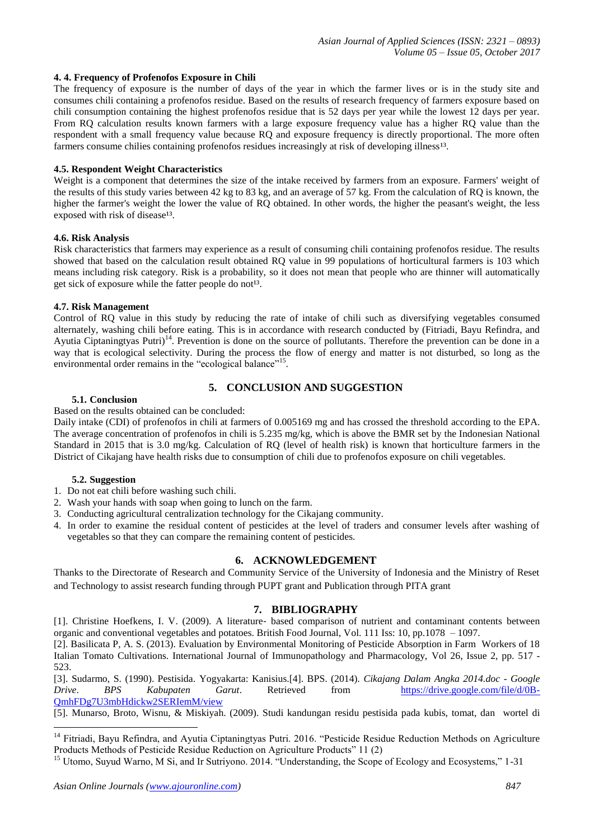## **4. 4. Frequency of Profenofos Exposure in Chili**

The frequency of exposure is the number of days of the year in which the farmer lives or is in the study site and consumes chili containing a profenofos residue. Based on the results of research frequency of farmers exposure based on chili consumption containing the highest profenofos residue that is 52 days per year while the lowest 12 days per year. From RQ calculation results known farmers with a large exposure frequency value has a higher RQ value than the respondent with a small frequency value because RQ and exposure frequency is directly proportional. The more often farmers consume chilies containing profenofos residues increasingly at risk of developing illness<sup>13</sup>.

## **4.5. Respondent Weight Characteristics**

Weight is a component that determines the size of the intake received by farmers from an exposure. Farmers' weight of the results of this study varies between 42 kg to 83 kg, and an average of 57 kg. From the calculation of RQ is known, the higher the farmer's weight the lower the value of RQ obtained. In other words, the higher the peasant's weight, the less exposed with risk of disease<sup>13</sup>.

## **4.6. Risk Analysis**

Risk characteristics that farmers may experience as a result of consuming chili containing profenofos residue. The results showed that based on the calculation result obtained RQ value in 99 populations of horticultural farmers is 103 which means including risk category. Risk is a probability, so it does not mean that people who are thinner will automatically get sick of exposure while the fatter people do not<sup>13</sup>.

#### **4.7. Risk Management**

Control of RQ value in this study by reducing the rate of intake of chili such as diversifying vegetables consumed alternately, washing chili before eating. This is in accordance with research conducted by (Fitriadi, Bayu Refindra, and Ayutia Ciptaningtyas Putri)<sup>14</sup>. Prevention is done on the source of pollutants. Therefore the prevention can be done in a way that is ecological selectivity. During the process the flow of energy and matter is not disturbed, so long as the environmental order remains in the "ecological balance"<sup>15</sup>.

#### **5.1. Conclusion**

## **5. CONCLUSION AND SUGGESTION**

## Based on the results obtained can be concluded:

Daily intake (CDI) of profenofos in chili at farmers of 0.005169 mg and has crossed the threshold according to the EPA. The average concentration of profenofos in chili is 5.235 mg/kg, which is above the BMR set by the Indonesian National Standard in 2015 that is 3.0 mg/kg. Calculation of RQ (level of health risk) is known that horticulture farmers in the District of Cikajang have health risks due to consumption of chili due to profenofos exposure on chili vegetables.

## **5.2. Suggestion**

1

- 1. Do not eat chili before washing such chili.
- 2. Wash your hands with soap when going to lunch on the farm.
- 3. Conducting agricultural centralization technology for the Cikajang community.
- 4. In order to examine the residual content of pesticides at the level of traders and consumer levels after washing of vegetables so that they can compare the remaining content of pesticides.

# **6. ACKNOWLEDGEMENT**

Thanks to the Directorate of Research and Community Service of the University of Indonesia and the Ministry of Reset and Technology to assist research funding through PUPT grant and Publication through PITA grant

## **7. BIBLIOGRAPHY**

[1]. Christine Hoefkens, I. V. (2009). A literature‐ based comparison of nutrient and contaminant contents between organic and conventional vegetables and potatoes. British Food Journal, Vol. 111 Iss: 10, pp.1078 – 1097.

[2]. Basilicata P, A. S. (2013). Evaluation by Environmental Monitoring of Pesticide Absorption in Farm Workers of 18 Italian Tomato Cultivations. International Journal of Immunopathology and Pharmacology, Vol 26, Issue 2, pp. 517 - 523.

[3]. Sudarmo, S. (1990). Pestisida. Yogyakarta: Kanisius.[4]. BPS. (2014). *Cikajang Dalam Angka 2014.doc - Google Drive*. *BPS Kabupaten Garut*. Retrieved from [https://drive.google.com/file/d/0B-](https://drive.google.com/file/d/0B-QmhFDg7U3mbHdickw2SERIemM/view)[QmhFDg7U3mbHdickw2SERIemM/view](https://drive.google.com/file/d/0B-QmhFDg7U3mbHdickw2SERIemM/view)

[5]. Munarso, Broto, Wisnu, & Miskiyah. (2009). Studi kandungan residu pestisida pada kubis, tomat, dan wortel di

<sup>&</sup>lt;sup>14</sup> Fitriadi, Bayu Refindra, and Ayutia Ciptaningtyas Putri. 2016. "Pesticide Residue Reduction Methods on Agriculture Products Methods of Pesticide Residue Reduction on Agriculture Products" 11 (2)

<sup>&</sup>lt;sup>15</sup> Utomo, Suyud Warno, M Si, and Ir Sutriyono. 2014. "Understanding, the Scope of Ecology and Ecosystems," 1-31